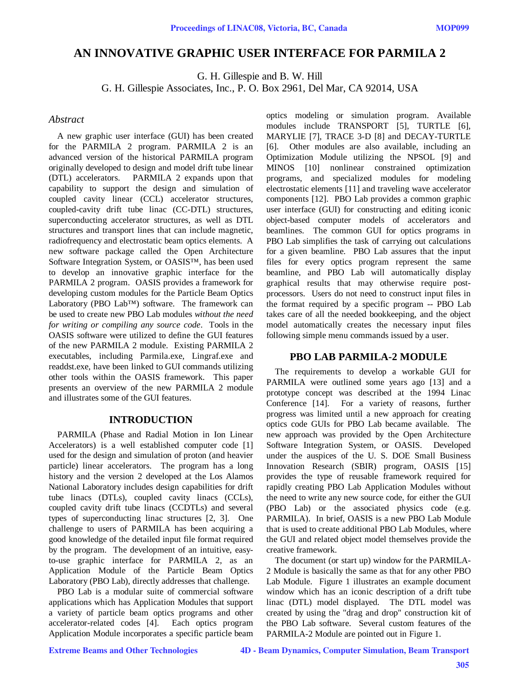# **AN INNOVATIVE GRAPHIC USER INTERFACE FOR PARMILA 2**

G. H. Gillespie and B. W. Hill

G. H. Gillespie Associates, Inc., P. O. Box 2961, Del Mar, CA 92014, USA

### *Abstract*

A new graphic user interface (GUI) has been created for the PARMILA 2 program. PARMILA 2 is an advanced version of the historical PARMILA program originally developed to design and model drift tube linear (DTL) accelerators. PARMILA 2 expands upon that capability to support the design and simulation of coupled cavity linear (CCL) accelerator structures, coupled-cavity drift tube linac (CC-DTL) structures, superconducting accelerator structures, as well as DTL structures and transport lines that can include magnetic, radiofrequency and electrostatic beam optics elements. A new software package called the Open Architecture Software Integration System, or OASIS™, has been used to develop an innovative graphic interface for the PARMILA 2 program. OASIS provides a framework for developing custom modules for the Particle Beam Optics Laboratory (PBO Lab™) software. The framework can be used to create new PBO Lab modules *without the need for writing or compiling any source code*. Tools in the OASIS software were utilized to define the GUI features of the new PARMILA 2 module. Existing PARMILA 2 executables, including Parmila.exe, Lingraf.exe and readdst.exe, have been linked to GUI commands utilizing other tools within the OASIS framework. This paper presents an overview of the new PARMILA 2 module and illustrates some of the GUI features.

### **INTRODUCTION**

PARMILA (Phase and Radial Motion in Ion Linear Accelerators) is a well established computer code [1] used for the design and simulation of proton (and heavier particle) linear accelerators. The program has a long history and the version 2 developed at the Los Alamos National Laboratory includes design capabilities for drift tube linacs (DTLs), coupled cavity linacs (CCLs), coupled cavity drift tube linacs (CCDTLs) and several types of superconducting linac structures [2, 3]. One challenge to users of PARMILA has been acquiring a good knowledge of the detailed input file format required by the program. The development of an intuitive, easyto-use graphic interface for PARMILA 2, as an Application Module of the Particle Beam Optics Laboratory (PBO Lab), directly addresses that challenge.

PBO Lab is a modular suite of commercial software applications which has Application Modules that support a variety of particle beam optics programs and other accelerator-related codes [4]. Each optics program Application Module incorporates a specific particle beam optics modeling or simulation program. Available modules include TRANSPORT [5], TURTLE [6], MARYLIE [7], TRACE 3-D [8] and DECAY-TURTLE [6]. Other modules are also available, including an Optimization Module utilizing the NPSOL [9] and MINOS [10] nonlinear constrained optimization programs, and specialized modules for modeling electrostatic elements [11] and traveling wave accelerator components [12]. PBO Lab provides a common graphic user interface (GUI) for constructing and editing iconic object-based computer models of accelerators and beamlines. The common GUI for optics programs in PBO Lab simplifies the task of carrying out calculations for a given beamline. PBO Lab assures that the input files for every optics program represent the same beamline, and PBO Lab will automatically display graphical results that may otherwise require postprocessors. Users do not need to construct input files in the format required by a specific program -- PBO Lab takes care of all the needed bookkeeping, and the object model automatically creates the necessary input files following simple menu commands issued by a user.

## **PBO LAB PARMILA-2 MODULE**

The requirements to develop a workable GUI for PARMILA were outlined some years ago [13] and a prototype concept was described at the 1994 Linac Conference [14]. For a variety of reasons, further progress was limited until a new approach for creating optics code GUIs for PBO Lab became available. The new approach was provided by the Open Architecture Software Integration System, or OASIS. Developed under the auspices of the U. S. DOE Small Business Innovation Research (SBIR) program, OASIS [15] provides the type of reusable framework required for rapidly creating PBO Lab Application Modules without the need to write any new source code, for either the GUI (PBO Lab) or the associated physics code (e.g. PARMILA). In brief, OASIS is a new PBO Lab Module that is used to create additional PBO Lab Modules, where the GUI and related object model themselves provide the creative framework.

The document (or start up) window for the PARMILA-2 Module is basically the same as that for any other PBO Lab Module. Figure 1 illustrates an example document window which has an iconic description of a drift tube linac (DTL) model displayed. The DTL model was created by using the "drag and drop" construction kit of the PBO Lab software. Several custom features of the PARMILA-2 Module are pointed out in Figure 1.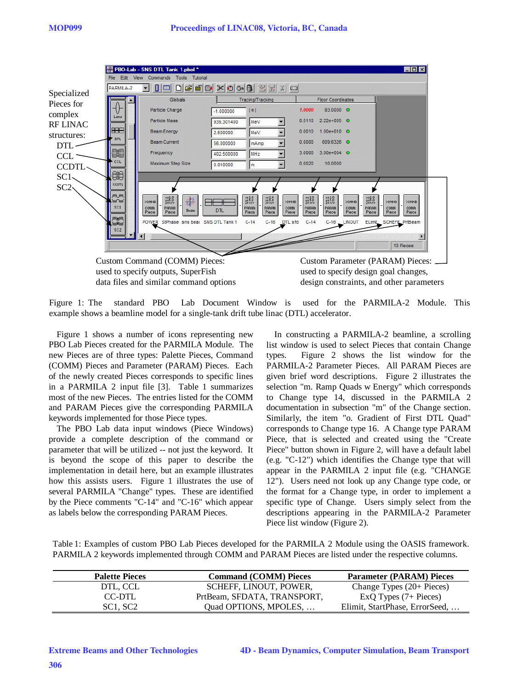|                                                                        | Edit<br>File                                                       | ■ PBO-Lab - SNS DTL Tank 1.pbol *<br>Commands Tools Tutorial<br>View                                                                          |                                       |                                                                                                                        |                                                                                                |                                                                                                                                  |                                                                                        | SOX                                                   |
|------------------------------------------------------------------------|--------------------------------------------------------------------|-----------------------------------------------------------------------------------------------------------------------------------------------|---------------------------------------|------------------------------------------------------------------------------------------------------------------------|------------------------------------------------------------------------------------------------|----------------------------------------------------------------------------------------------------------------------------------|----------------------------------------------------------------------------------------|-------------------------------------------------------|
| Specialized<br>Pieces for<br>complex<br><b>RF LINAC</b><br>structures: | PARMILA-2<br>Lens<br><b>HHEI</b>                                   | $\Box$<br>D<br>$\overline{\phantom{a}}$<br>    <br>Globals<br>Particle Charge<br>Particle Mass<br>Beam Energy                                 | $-1.000000$<br>939.301400<br>2,500000 | $\times$ 0 0 0 $\times$ 1 $\times$<br>Tracing/Tracking<br> e <br>MeV<br>MeV                                            | 1.0000<br>0.5110<br>0.0010                                                                     | <b>Floor Coordinates</b><br>93.0000 0<br>$2.22e+0.05$ O<br>$1.00e + 010$ O                                                       |                                                                                        |                                                       |
| DTL<br>CCL<br>CCDTL-<br>SC1                                            | <b>DTL</b><br>mem<br>Waw<br>CCL<br>90                              | <b>Beam Current</b><br>Frequency<br>Maximum Step Size                                                                                         | 56,000000<br>402.500000<br>0.010000   | mAmp<br>MHz<br>m                                                                                                       | 0.0000<br>3.0000<br>0.0020                                                                     | 609.6326 0<br>$3.00e + 004$ $C$<br>10,0000                                                                                       |                                                                                        |                                                       |
| $SC2\backslash$                                                        | CCDTL<br>m_m<br><b>Tuur</b><br>SC1<br>mum<br><b>Tuumuuf</b><br>SC2 | $x=2.0$<br>$y=5.0$<br>$z=x/y$<br>器<br><b>DOMND</b><br>PARAM<br>comm<br><b>Beam</b><br>Piece<br>Piece<br>POWER StPhase sns bear SNS DTL Tank 1 | <b>DTL</b>                            | $x=2.0$<br>$y=5.0$<br>$z=x/y$<br>$x=2.0$<br>$y=5.0$<br>$z=x/y$<br>PARAM<br>PARAM<br>Piece<br>Piece<br>$C-14$<br>$C-16$ | $x=2.0$<br>$y=5.0$<br>$2=x/y$<br>>CMND<br>PARAM<br>comm<br>Piece<br>Piece<br>$C-14$<br>DTL sfd | $\begin{array}{l}\n x = 2.0 \\ y = 5.0 \\ 2 = x/y\n\end{array}$<br><b>CMND</b><br>PARAM<br>comm<br>Piece<br>Piece<br>C-16 LINOUT | $x = 2.0$<br>$y = 5.0$<br>$z = x/y$<br><b>DOMND</b><br>PARAM<br>comm<br>Piece<br>Piece | <b>CMND</b><br>comm<br>Piece<br>ELimit_SCHEFF_PrtBeam |
|                                                                        |                                                                    |                                                                                                                                               |                                       |                                                                                                                        |                                                                                                |                                                                                                                                  |                                                                                        | 13 Pieces                                             |
|                                                                        |                                                                    | Custom Command (COMM) Pieces:                                                                                                                 |                                       |                                                                                                                        |                                                                                                |                                                                                                                                  |                                                                                        | Custom Parameter (PARAM) Pieces:                      |

used to specify outputs, SuperFish used to specify design goal changes,

data files and similar command options design constraints, and other parameters

Figure 1: The standard PBO Lab Document Window is used for the PARMILA-2 Module. This example shows a beamline model for a single-tank drift tube linac (DTL) accelerator.

Figure 1 shows a number of icons representing new PBO Lab Pieces created for the PARMILA Module. The new Pieces are of three types: Palette Pieces, Command (COMM) Pieces and Parameter (PARAM) Pieces. Each of the newly created Pieces corresponds to specific lines in a PARMILA 2 input file [3]. Table 1 summarizes most of the new Pieces. The entries listed for the COMM and PARAM Pieces give the corresponding PARMILA keywords implemented for those Piece types.

The PBO Lab data input windows (Piece Windows) provide a complete description of the command or parameter that will be utilized -- not just the keyword. It is beyond the scope of this paper to describe the implementation in detail here, but an example illustrates how this assists users. Figure 1 illustrates the use of several PARMILA "Change" types. These are identified by the Piece comments "C-14" and "C-16" which appear as labels below the corresponding PARAM Pieces.

In constructing a PARMILA-2 beamline, a scrolling list window is used to select Pieces that contain Change types. Figure 2 shows the list window for the PARMILA-2 Parameter Pieces. All PARAM Pieces are given brief word descriptions. Figure 2 illustrates the selection "m. Ramp Quads w Energy" which corresponds to Change type 14, discussed in the PARMILA 2 documentation in subsection "m" of the Change section. Similarly, the item "o. Gradient of First DTL Quad" corresponds to Change type 16. A Change type PARAM Piece, that is selected and created using the "Create Piece" button shown in Figure 2, will have a default label (e.g. "C-12") which identifies the Change type that will appear in the PARMILA 2 input file (e.g. "CHANGE 12"). Users need not look up any Change type code, or the format for a Change type, in order to implement a specific type of Change. Users simply select from the descriptions appearing in the PARMILA-2 Parameter Piece list window (Figure 2).

Table 1: Examples of custom PBO Lab Pieces developed for the PARMILA 2 Module using the OASIS framework. PARMILA 2 keywords implemented through COMM and PARAM Pieces are listed under the respective columns.

| <b>Palette Pieces</b>             | <b>Command (COMM) Pieces</b> | <b>Parameter (PARAM) Pieces</b> |
|-----------------------------------|------------------------------|---------------------------------|
| DTL. CCL                          | SCHEFF, LINOUT, POWER.       | Change Types $(20+P_i)$         |
| CC-DTL                            | PrtBeam, SFDATA, TRANSPORT,  | $ExQ$ Types $(7 + P$ ieces)     |
| SC <sub>1</sub> . SC <sub>2</sub> | Ouad OPTIONS, MPOLES,        | Elimit, StartPhase, ErrorSeed,  |